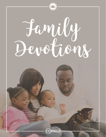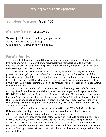## **Praying with Thanksgiving**

### **Scripture Passage:** Psalm 100

**Memory Verse:** Psalm 100:1-2

"Make a joyful shout to the LORD, all you lands! Serve the LORD with gladness; Come before His presence with singing."

### **For My Family:**

In our last devotion, we read that we should "be anxious for nothing, but in everything by prayer and supplication, with thanksgiving, let your requests be made known to God; and the peace of God, which surpasses all understanding, will guard your hearts and minds through Christ Jesus" (Phil 4:6-7).

We learned that when we are afraid or anxious, we should turn to Jesus through prayer with *thanksgiving.* It is wonderful and comforting to remind ourselves of all the things that we can thank Jesus for. Sometimes when we are feeling sad or worried, it can be hard to think of the good things that God has done for us. However, God is so good that He actually gave us a whole Psalm that helps us to remember some of those good things that we can be thankful for.

Psalm 100 starts off by calling us to praise God with singing, to come before Him making a joyful sound because, and this is one of the most important things to remember, HE IS GOD! He is in control, He sees it all, He knows it all, and if He is in control, that means that I don't have to be. He is the one who made *us,* and Psalm 100 tells us that we belong to Him. He is our Good Shepherd, we are His sheep, and where are we? In *His* pasture. Even though things around us might feel crazy or confusing, we can be thankful that we are His, and we are with Him.

Psalm 100 also tells us that we can "enter into His gates." The God who made the Universe and everything in it invites us to come and stand before Him. He wants us to come into His courts with thanksgiving and praise. How amazing is that!

There are a few more things that Psalm 100 tells us we should be thankful for. It tells us that, "He is Good, His mercy is everlasting and His truth endures to all generations" (Verse 5). He is in control, we are with Him, He invites us to come in and speak with Him, He is good, He is merciful, and He is true! When we are worried about the things going on around us or confused by whatever situation we are in, these are all wonderful things to think about and thank Him for.